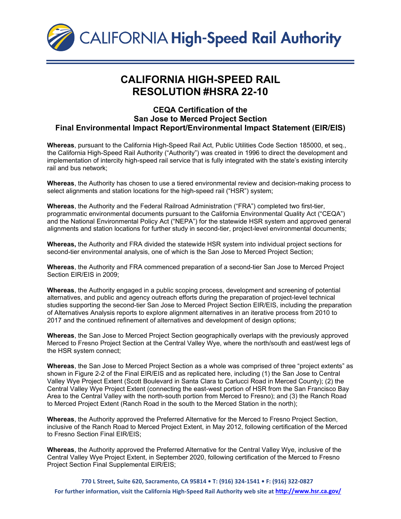

## **CALIFORNIA HIGH-SPEED RAIL RESOLUTION #HSRA 22-10**

## **CEQA Certification of the San Jose to Merced Project Section Final Environmental Impact Report/Environmental Impact Statement (EIR/EIS)**

**Whereas**, pursuant to the California High-Speed Rail Act, Public Utilities Code Section 185000, et seq., the California High-Speed Rail Authority ("Authority") was created in 1996 to direct the development and implementation of intercity high-speed rail service that is fully integrated with the state's existing intercity rail and bus network;

**Whereas**, the Authority has chosen to use a tiered environmental review and decision-making process to select alignments and station locations for the high-speed rail ("HSR") system;

**Whereas**, the Authority and the Federal Railroad Administration ("FRA") completed two first-tier, programmatic environmental documents pursuant to the California Environmental Quality Act ("CEQA") and the National Environmental Policy Act ("NEPA") for the statewide HSR system and approved general alignments and station locations for further study in second-tier, project-level environmental documents;

**Whereas,** the Authority and FRA divided the statewide HSR system into individual project sections for second-tier environmental analysis, one of which is the San Jose to Merced Project Section;

**Whereas**, the Authority and FRA commenced preparation of a second-tier San Jose to Merced Project Section EIR/EIS in 2009;

**Whereas**, the Authority engaged in a public scoping process, development and screening of potential alternatives, and public and agency outreach efforts during the preparation of project-level technical studies supporting the second-tier San Jose to Merced Project Section EIR/EIS, including the preparation of Alternatives Analysis reports to explore alignment alternatives in an iterative process from 2010 to 2017 and the continued refinement of alternatives and development of design options;

**Whereas**, the San Jose to Merced Project Section geographically overlaps with the previously approved Merced to Fresno Project Section at the Central Valley Wye, where the north/south and east/west legs of the HSR system connect;

**Whereas**, the San Jose to Merced Project Section as a whole was comprised of three "project extents" as shown in Figure 2-2 of the Final EIR/EIS and as replicated here, including (1) the San Jose to Central Valley Wye Project Extent (Scott Boulevard in Santa Clara to Carlucci Road in Merced County); (2) the Central Valley Wye Project Extent (connecting the east-west portion of HSR from the San Francisco Bay Area to the Central Valley with the north-south portion from Merced to Fresno); and (3) the Ranch Road to Merced Project Extent (Ranch Road in the south to the Merced Station in the north);

**Whereas**, the Authority approved the Preferred Alternative for the Merced to Fresno Project Section, inclusive of the Ranch Road to Merced Project Extent, in May 2012, following certification of the Merced to Fresno Section Final EIR/EIS;

**Whereas**, the Authority approved the Preferred Alternative for the Central Valley Wye, inclusive of the Central Valley Wye Project Extent, in September 2020, following certification of the Merced to Fresno Project Section Final Supplemental EIR/EIS;

**770 L Street, Suite 620, Sacramento, CA 95814 • T: (916) 324-1541 • F: (916) 322-0827 For further information, visit the California High-Speed Rail Authority web site at <http://www.hsr.ca.gov/>**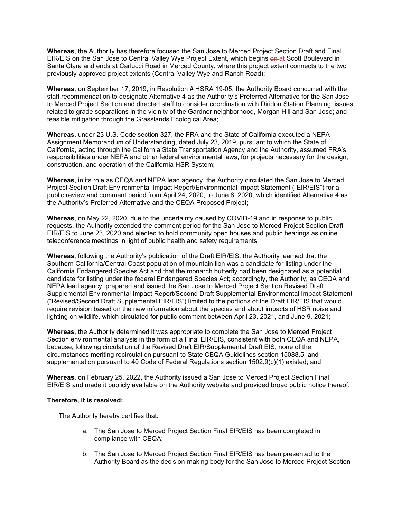**Whereas**, the Authority has therefore focused the San Jose to Merced Project Section Draft and Final EIR/EIS on the San Jose to Central Valley Wye Project Extent, which begins on at Scott Boulevard in Santa Clara and ends at Carlucci Road in Merced County, where this project extent connects to the two previously-approved project extents (Central Valley Wye and Ranch Road);

**Whereas**, on September 17, 2019, in Resolution # HSRA 19-05, the Authority Board concurred with the staff recommendation to designate Alternative 4 as the Authority's Preferred Alternative for the San Jose to Merced Project Section and directed staff to consider coordination with Diridon Station Planning; issues related to grade separations in the vicinity of the Gardner neighborhood, Morgan Hill and San Jose; and feasible mitigation through the Grasslands Ecological Area;

**Whereas**, under 23 U.S. Code section 327, the FRA and the State of California executed a NEPA Assignment Memorandum of Understanding, dated July 23, 2019, pursuant to which the State of California, acting through the California State Transportation Agency and the Authority, assumed FRA's responsibilities under NEPA and other federal environmental laws, for projects necessary for the design, construction, and operation of the California HSR System;

**Whereas**, in its role as CEQA and NEPA lead agency, the Authority circulated the San Jose to Merced Project Section Draft Environmental Impact Report/Environmental Impact Statement ("EIR/EIS") for a public review and comment period from April 24, 2020, to June 8, 2020, which identified Alternative 4 as the Authority's Preferred Alternative and the CEQA Proposed Project;

**Whereas**, on May 22, 2020, due to the uncertainty caused by COVID-19 and in response to public requests, the Authority extended the comment period for the San Jose to Merced Project Section Draft EIR/EIS to June 23, 2020 and elected to hold community open houses and public hearings as online teleconference meetings in light of public health and safety requirements;

**Whereas**, following the Authority's publication of the Draft EIR/EIS, the Authority learned that the Southern California/Central Coast population of mountain lion was a candidate for listing under the California Endangered Species Act and that the monarch butterfly had been designated as a potential candidate for listing under the federal Endangered Species Act; accordingly, the Authority, as CEQA and NEPA lead agency, prepared and issued the San Jose to Merced Project Section Revised Draft Supplemental Environmental Impact Report/Second Draft Supplemental Environmental Impact Statement ("Revised/Second Draft Supplemental EIR/EIS") limited to the portions of the Draft EIR/EIS that would require revision based on the new information about the species and about impacts of HSR noise and lighting on wildlife, which circulated for public comment between April 23, 2021, and June 9, 2021;

**Whereas**, the Authority determined it was appropriate to complete the San Jose to Merced Project Section environmental analysis in the form of a Final EIR/EIS, consistent with both CEQA and NEPA, because, following circulation of the Revised Draft EIR/Supplemental Draft EIS, none of the circumstances meriting recirculation pursuant to State CEQA Guidelines section 15088.5, and supplementation pursuant to 40 Code of Federal Regulations section 1502.9(c)(1) existed; and

**Whereas**, on February 25, 2022, the Authority issued a San Jose to Merced Project Section Final EIR/EIS and made it publicly available on the Authority website and provided broad public notice thereof.

## **Therefore, it is resolved:**

The Authority hereby certifies that:

- a. The San Jose to Merced Project Section Final EIR/EIS has been completed in compliance with CEQA;
- b. The San Jose to Merced Project Section Final EIR/EIS has been presented to the Authority Board as the decision-making body for the San Jose to Merced Project Section